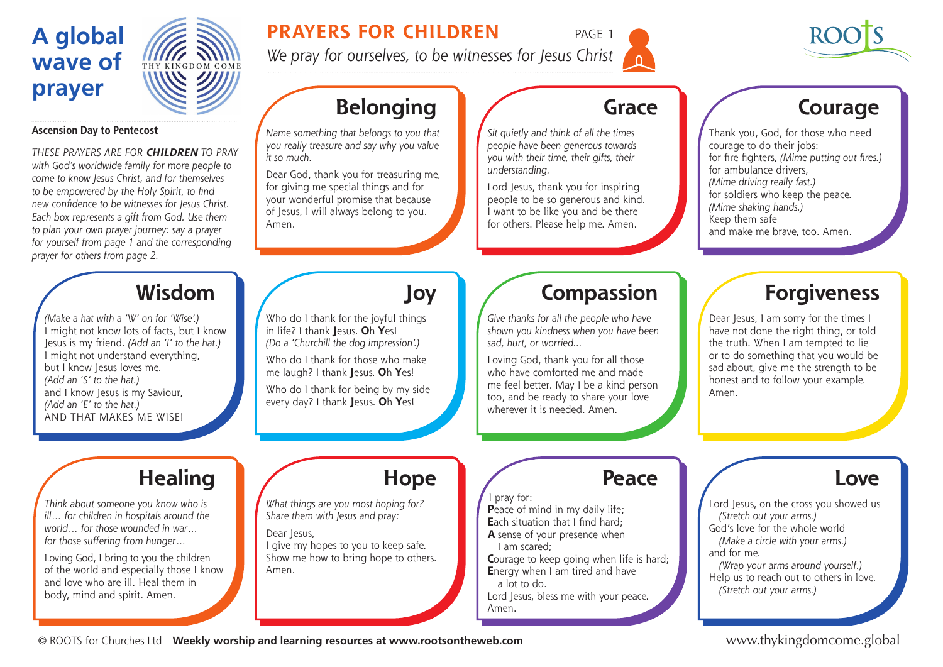# **A global wave of prayer**

### **Ascension Day to Pentecost**

*These prayers are for* **CHILDREN** *to praY with God's worldwide family for more people to come to know Jesus Christ, and for themselves to be empowered by the Holy Spirit, to find new confidence to be witnesses for Jesus Christ. Each box represents a gift from God. Use them to plan your own prayer journey: say a prayer for yourself from page 1 and the corresponding prayer for others from page 2.* 

## **Wisdom**

HY KINGDOM COMP

*(Make a hat with a 'W' on for 'Wise'.)*  I might not know lots of facts, but I know Jesus is my friend. *(Add an 'I' to the hat.)* I might not understand everything, but I know Jesus loves me. *(Add an 'S' to the hat.)*  and I know Jesus is my Saviour, *(Add an 'E' to the hat.)*  AND THAT MAKES ME WISE!

### **PRAYERS FOR CHILDREN** PAGE 1

*We pray for ourselves, to be witnesses for Jesus Christ*



**Courage**

# **Belonging**

*Name something that belongs to you that you really treasure and say why you value it so much.* 

Dear God, thank you for treasuring me, for giving me special things and for your wonderful promise that because of Jesus, I will always belong to you. Amen.

Who do I thank for the joyful things in life? I thank **J**esus. **O**h **Y**es! *(Do a 'Churchill the dog impression'.)* Who do I thank for those who make me laugh? I thank **J**esus. **O**h **Y**es! Who do I thank for being by my side every day? I thank **J**esus. **O**h **Y**es!

# **Grace**

*Sit quietly and think of all the times people have been generous towards you with their time, their gifts, their understanding.* 

Lord Jesus, thank you for inspiring people to be so generous and kind. I want to be like you and be there for others. Please help me. Amen.

Thank you, God, for those who need courage to do their jobs: for fire fighters, *(Mime putting out fires.)*  for ambulance drivers, *(Mime driving really fast.)*  for soldiers who keep the peace. *(Mime shaking hands.)*  Keep them safe and make me brave, too. Amen.

# **Compassion**

*Give thanks for all the people who have shown you kindness when you have been sad, hurt, or worried...*

Loving God, thank you for all those who have comforted me and made me feel better. May I be a kind person too, and be ready to share your love wherever it is needed. Amen.

# **Forgiveness**

Dear Jesus, I am sorry for the times I have not done the right thing, or told the truth. When I am tempted to lie or to do something that you would be sad about, give me the strength to be honest and to follow your example. Amen.

# **Healing**

*Think about someone you know who is ill… for children in hospitals around the world… for those wounded in war… for those suffering from hunger…*

Loving God, I bring to you the children of the world and especially those I know and love who are ill. Heal them in body, mind and spirit. Amen.

### **Hope**

**Joy**

*What things are you most hoping for? Share them with Jesus and pray:* 

#### Dear Jesus, I give my hopes to you to keep safe. Show me how to bring hope to others. Amen.

### **Peace**

I pray for: **P**eace of mind in my daily life; **Each situation that I find hard: A** sense of your presence when I am scared; **Courage to keep going when life is hard; E**nergy when I am tired and have a lot to do. Lord Jesus, bless me with your peace.

Amen.

Lord Jesus, on the cross you showed us

**Love**

*(Stretch out your arms.)*

God's love for the whole world *(Make a circle with your arms.)*  and for me.

*(Wrap your arms around yourself.)*  Help us to reach out to others in love. *(Stretch out your arms.)* 

© ROOTS for Churches Ltd **Weekly worship and learning resources at www.rootsontheweb.com**

www.thykingdomcome.global